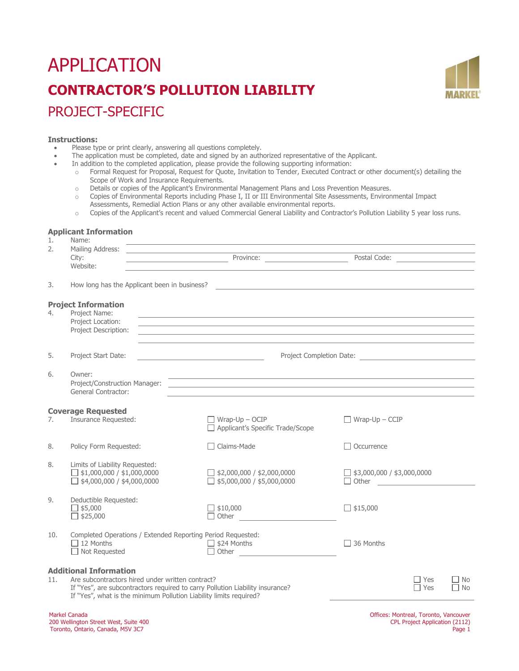# APPLICATION **CONTRACTOR'S POLLUTION LIABILITY** PROJECT-SPECIFIC



## **Instructions:**

- Please type or print clearly, answering all questions completely.
	- The application must be completed, date and signed by an authorized representative of the Applicant.
- In addition to the completed application, please provide the following supporting information:
	- o Formal Request for Proposal, Request for Quote, Invitation to Tender, Executed Contract or other document(s) detailing the Scope of Work and Insurance Requirements.
	- o Details or copies of the Applicant's Environmental Management Plans and Loss Prevention Measures.<br>Copies of Environmental Reports including Phase I. II or III Environmental Site Assessments. Environ
	- Copies of Environmental Reports including Phase I, II or III Environmental Site Assessments, Environmental Impact Assessments, Remedial Action Plans or any other available environmental reports.
	- o Copies of the Applicant's recent and valued Commercial General Liability and Contractor's Pollution Liability 5 year loss runs.

#### **Applicant Information** Name:

| 2.  | Mailing Address:<br><u> 1989 - Andrea State Barbara, martin a shekara 198</u><br>City:                                                                                                                                                   | Province:                                                                                                                                                                                                                                                                                                                     | Postal Code: <u>____________________</u>          |  |  |
|-----|------------------------------------------------------------------------------------------------------------------------------------------------------------------------------------------------------------------------------------------|-------------------------------------------------------------------------------------------------------------------------------------------------------------------------------------------------------------------------------------------------------------------------------------------------------------------------------|---------------------------------------------------|--|--|
|     | Website:                                                                                                                                                                                                                                 |                                                                                                                                                                                                                                                                                                                               |                                                   |  |  |
| 3.  | How long has the Applicant been in business?                                                                                                                                                                                             |                                                                                                                                                                                                                                                                                                                               |                                                   |  |  |
| 4.  | <b>Project Information</b><br>Project Name:<br>Project Location:<br>Project Description:                                                                                                                                                 | and the control of the control of the control of the control of the control of the control of the control of the<br>,我们也不能在这里的时候,我们也不能在这里的时候,我们也不能会在这里,我们也不能会在这里的时候,我们也不能会在这里的时候,我们也不能会在这里的时候,我们也不能会<br><u> 1989 - Johann Stoff, deutscher Stoff, der Stoff, der Stoff, der Stoff, der Stoff, der Stoff, der Stoff, der S</u> |                                                   |  |  |
| 5.  | Project Start Date:                                                                                                                                                                                                                      |                                                                                                                                                                                                                                                                                                                               |                                                   |  |  |
| 6.  | Owner:<br>Project/Construction Manager:<br><b>General Contractor:</b>                                                                                                                                                                    | ,我们也不会有什么。""我们的人,我们也不会有什么?""我们的人,我们也不会有什么?""我们的人,我们也不会有什么?""我们的人,我们也不会有什么?""我们的人<br><u> 1989 - Johann John Stone, markin sanat masjid asl nashrida asl nashrida asl nashrida asl nashrida asl nashri</u>                                                                                                                      |                                                   |  |  |
| 7.  | <b>Coverage Requested</b><br>Insurance Requested:                                                                                                                                                                                        | $\Box$ Wrap-Up – OCIP<br>Applicant's Specific Trade/Scope                                                                                                                                                                                                                                                                     | $\Box$ Wrap-Up – CCIP                             |  |  |
| 8.  | Policy Form Requested:                                                                                                                                                                                                                   | □ Claims-Made                                                                                                                                                                                                                                                                                                                 | Occurrence                                        |  |  |
| 8.  | Limits of Liability Requested:<br>$\Box$ \$1,000,000 / \$1,000,0000<br>$\Box$ \$4,000,000 / \$4,000,0000                                                                                                                                 | $\Box$ \$2,000,000 / \$2,000,0000<br>$\Box$ \$5,000,000 / \$5,000,0000                                                                                                                                                                                                                                                        | $\Box$ \$3,000,000 / \$3,000,0000<br>$\Box$ Other |  |  |
| 9.  | Deductible Requested:<br>$\Box$ \$5,000<br>$\Box$ \$25,000                                                                                                                                                                               | $\Box$ \$10,000<br>$\Box$ Other                                                                                                                                                                                                                                                                                               | $\Box$ \$15,000                                   |  |  |
| 10. | Completed Operations / Extended Reporting Period Requested:<br>$\Box$ 12 Months<br>$\Box$ Not Requested                                                                                                                                  | $\Box$ \$24 Months<br>□ Other <u>________________________</u>                                                                                                                                                                                                                                                                 | 36 Months                                         |  |  |
| 11. | <b>Additional Information</b><br>Are subcontractors hired under written contract?<br>If "Yes", are subcontractors required to carry Pollution Liability insurance?<br>If "Yes", what is the minimum Pollution Liability limits required? |                                                                                                                                                                                                                                                                                                                               | $\Box$ No<br>T Yes<br>$\Box$ No<br>$\Box$ Yes     |  |  |
|     | <b>Markel Canada</b>                                                                                                                                                                                                                     |                                                                                                                                                                                                                                                                                                                               | Offices: Montreal, Toronto, Vancouver             |  |  |

200 Wellington Street West, Suite 400 Toronto, Ontario, Canada, M5V 3C7

CPL Project Application (2112) Page 1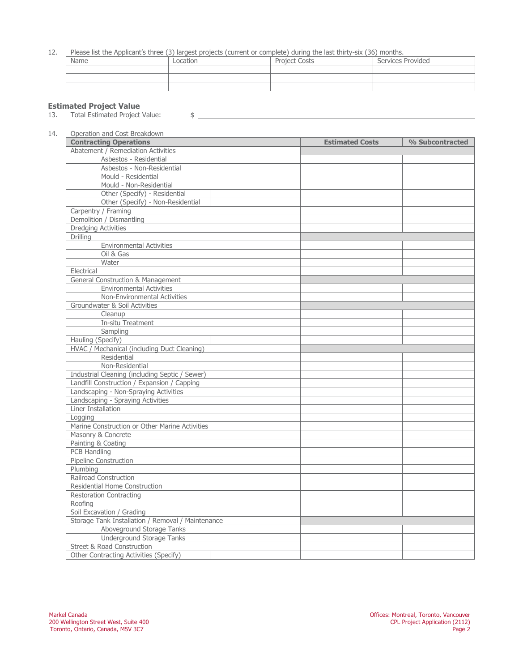## 12. Please list the Applicant's three (3) largest projects (current or complete) during the last thirty-six (36) months.

| Name | LOCATION | Costs<br>Droiart<br>wuu | Services Provided |
|------|----------|-------------------------|-------------------|
|      |          |                         |                   |
|      |          |                         |                   |
|      |          |                         |                   |

## **Estimated Project Value**

13. Total Estimated Project Value:  $\frac{1}{2}$ 

| <b>Contracting Operations</b>                     | <b>Estimated Costs</b> | % Subcontracted |
|---------------------------------------------------|------------------------|-----------------|
| Abatement / Remediation Activities                |                        |                 |
| Asbestos - Residential                            |                        |                 |
| Asbestos - Non-Residential                        |                        |                 |
| Mould - Residential                               |                        |                 |
| Mould - Non-Residential                           |                        |                 |
| Other (Specify) - Residential                     |                        |                 |
| Other (Specify) - Non-Residential                 |                        |                 |
| Carpentry / Framing                               |                        |                 |
| Demolition / Dismantling                          |                        |                 |
| <b>Dredging Activities</b>                        |                        |                 |
| <b>Drilling</b>                                   |                        |                 |
| <b>Environmental Activities</b>                   |                        |                 |
| Oil & Gas                                         |                        |                 |
| Water                                             |                        |                 |
| Electrical                                        |                        |                 |
| General Construction & Management                 |                        |                 |
| <b>Environmental Activities</b>                   |                        |                 |
| Non-Environmental Activities                      |                        |                 |
| Groundwater & Soil Activities                     |                        |                 |
| Cleanup                                           |                        |                 |
| <b>In-situ Treatment</b>                          |                        |                 |
| Sampling                                          |                        |                 |
| Hauling (Specify)                                 |                        |                 |
| HVAC / Mechanical (including Duct Cleaning)       |                        |                 |
| Residential                                       |                        |                 |
| Non-Residential                                   |                        |                 |
| Industrial Cleaning (including Septic / Sewer)    |                        |                 |
| Landfill Construction / Expansion / Capping       |                        |                 |
| Landscaping - Non-Spraying Activities             |                        |                 |
| Landscaping - Spraying Activities                 |                        |                 |
| Liner Installation                                |                        |                 |
| Logging                                           |                        |                 |
| Marine Construction or Other Marine Activities    |                        |                 |
| Masonry & Concrete                                |                        |                 |
| Painting & Coating                                |                        |                 |
| <b>PCB Handling</b>                               |                        |                 |
| Pipeline Construction                             |                        |                 |
| Plumbing                                          |                        |                 |
| Railroad Construction                             |                        |                 |
| Residential Home Construction                     |                        |                 |
| <b>Restoration Contracting</b>                    |                        |                 |
| Roofing                                           |                        |                 |
| Soil Excavation / Grading                         |                        |                 |
| Storage Tank Installation / Removal / Maintenance |                        |                 |
| Aboveground Storage Tanks                         |                        |                 |
| <b>Underground Storage Tanks</b>                  |                        |                 |
| <b>Street &amp; Road Construction</b>             |                        |                 |